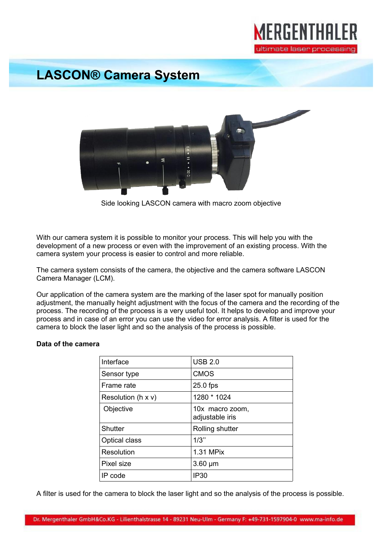

## **LASCON® Camera System**



Side looking LASCON camera with macro zoom objective

With our camera system it is possible to monitor your process. This will help you with the development of a new process or even with the improvement of an existing process. With the camera system your process is easier to control and more reliable.

The camera system consists of the camera, the objective and the camera software LASCON Camera Manager (LCM).

Our application of the camera system are the marking of the laser spot for manually position adjustment, the manually height adjustment with the focus of the camera and the recording of the process. The recording of the process is a very useful tool. It helps to develop and improve your process and in case of an error you can use the video for error analysis. A filter is used for the camera to block the laser light and so the analysis of the process is possible.

## **Data of the camera**

| Interface                   | <b>USB 2.0</b>                     |
|-----------------------------|------------------------------------|
| Sensor type                 | <b>CMOS</b>                        |
| Frame rate                  | $25.0$ fps                         |
| Resolution ( $h \times v$ ) | 1280 * 1024                        |
| Objective                   | 10x macro zoom,<br>adjustable iris |
| <b>Shutter</b>              | Rolling shutter                    |
| <b>Optical class</b>        | 1/3"                               |
| Resolution                  | 1.31 MPix                          |
| Pixel size                  | $3.60 \mu m$                       |
| IP code                     | <b>IP30</b>                        |

A filter is used for the camera to block the laser light and so the analysis of the process is possible.